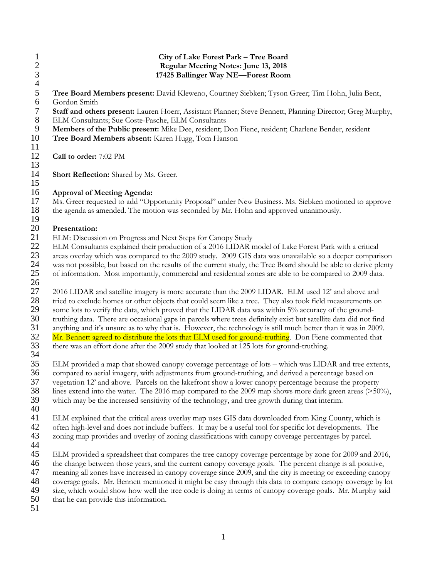| $\mathbf{1}$<br>$rac{2}{3}$<br>$\overline{4}$ | City of Lake Forest Park - Tree Board<br>Regular Meeting Notes: June 13, 2018<br>17425 Ballinger Way NE-Forest Room                                                                                                                                                                                                                                                                                                                                                                                                                                                                                                                                                                                                                                                |
|-----------------------------------------------|--------------------------------------------------------------------------------------------------------------------------------------------------------------------------------------------------------------------------------------------------------------------------------------------------------------------------------------------------------------------------------------------------------------------------------------------------------------------------------------------------------------------------------------------------------------------------------------------------------------------------------------------------------------------------------------------------------------------------------------------------------------------|
| $\sqrt{5}$                                    | Tree Board Members present: David Kleweno, Courtney Siebken; Tyson Greer; Tim Hohn, Julia Bent,                                                                                                                                                                                                                                                                                                                                                                                                                                                                                                                                                                                                                                                                    |
| 6<br>$\tau$<br>$\,8\,$<br>9<br>10<br>11       | Gordon Smith<br>Staff and others present: Lauren Hoerr, Assistant Planner; Steve Bennett, Planning Director; Greg Murphy,<br>ELM Consultants; Sue Coste-Pasche, ELM Consultants<br>Members of the Public present: Mike Dee, resident; Don Fiene, resident; Charlene Bender, resident<br>Tree Board Members absent: Karen Hugg, Tom Hanson                                                                                                                                                                                                                                                                                                                                                                                                                          |
| 12                                            | Call to order: 7:02 PM                                                                                                                                                                                                                                                                                                                                                                                                                                                                                                                                                                                                                                                                                                                                             |
| 13<br>14                                      | <b>Short Reflection:</b> Shared by Ms. Greer.                                                                                                                                                                                                                                                                                                                                                                                                                                                                                                                                                                                                                                                                                                                      |
| 15<br>16<br>17<br>18                          | <b>Approval of Meeting Agenda:</b><br>Ms. Greer requested to add "Opportunity Proposal" under New Business. Ms. Siebken motioned to approve<br>the agenda as amended. The motion was seconded by Mr. Hohn and approved unanimously.                                                                                                                                                                                                                                                                                                                                                                                                                                                                                                                                |
| 19<br>20<br>21                                | Presentation:<br>ELM: Discussion on Progress and Next Steps for Canopy Study                                                                                                                                                                                                                                                                                                                                                                                                                                                                                                                                                                                                                                                                                       |
| 22<br>23<br>24<br>25<br>26                    | ELM Consultants explained their production of a 2016 LIDAR model of Lake Forest Park with a critical<br>areas overlay which was compared to the 2009 study. 2009 GIS data was unavailable so a deeper comparison<br>was not possible, but based on the results of the current study, the Tree Board should be able to derive plenty<br>of information. Most importantly, commercial and residential zones are able to be compared to 2009 data.                                                                                                                                                                                                                                                                                                                    |
| 27<br>28<br>29<br>30<br>31<br>32<br>33        | 2016 LIDAR and satellite imagery is more accurate than the 2009 LIDAR. ELM used 12' and above and<br>tried to exclude homes or other objects that could seem like a tree. They also took field measurements on<br>some lots to verify the data, which proved that the LIDAR data was within 5% accuracy of the ground-<br>truthing data. There are occasional gaps in parcels where trees definitely exist but satellite data did not find<br>anything and it's unsure as to why that is. However, the technology is still much better than it was in 2009.<br>Mr. Bennett agreed to distribute the lots that ELM used for ground-truthing. Don Fiene commented that<br>there was an effort done after the 2009 study that looked at 125 lots for ground-truthing. |
| 34<br>35<br>36<br>37<br>38<br>39<br>40        | ELM provided a map that showed canopy coverage percentage of lots - which was LIDAR and tree extents,<br>compared to aerial imagery, with adjustments from ground-truthing, and derived a percentage based on<br>vegetation 12' and above. Parcels on the lakefront show a lower canopy percentage because the property<br>lines extend into the water. The 2016 map compared to the 2009 map shows more dark green areas $($ >50%),<br>which may be the increased sensitivity of the technology, and tree growth during that interim.                                                                                                                                                                                                                             |
| 41<br>42<br>43<br>44                          | ELM explained that the critical areas overlay map uses GIS data downloaded from King County, which is<br>often high-level and does not include buffers. It may be a useful tool for specific lot developments. The<br>zoning map provides and overlay of zoning classifications with canopy coverage percentages by parcel.                                                                                                                                                                                                                                                                                                                                                                                                                                        |
| 45<br>46<br>47<br>48<br>49<br>50<br>51        | ELM provided a spreadsheet that compares the tree canopy coverage percentage by zone for 2009 and 2016,<br>the change between those years, and the current canopy coverage goals. The percent change is all positive,<br>meaning all zones have increased in canopy coverage since 2009, and the city is meeting or exceeding canopy<br>coverage goals. Mr. Bennett mentioned it might be easy through this data to compare canopy coverage by lot<br>size, which would show how well the tree code is doing in terms of canopy coverage goals. Mr. Murphy said<br>that he can provide this information.                                                                                                                                                           |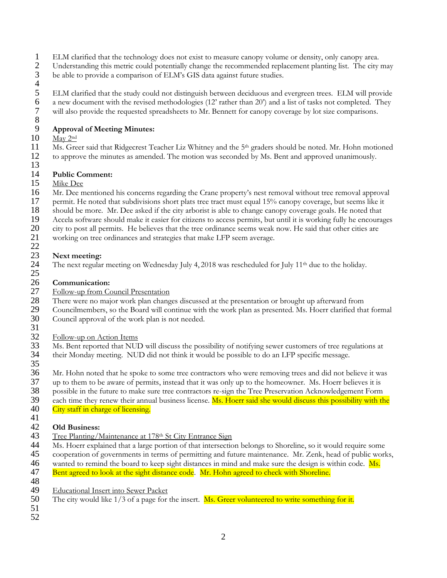- 1 ELM clarified that the technology does not exist to measure canopy volume or density, only canopy area.<br>2 Understanding this metric could potentially change the recommended replacement planting list. The city
- 2 Understanding this metric could potentially change the recommended replacement planting list. The city may<br>3 be able to provide a comparison of ELM's GIS data against future studies.
- be able to provide a comparison of ELM's GIS data against future studies.
- $\frac{4}{5}$ 5 ELM clarified that the study could not distinguish between deciduous and evergreen trees. ELM will provide<br>6 a new document with the revised methodologies (12' rather than 20') and a list of tasks not completed. They 6 a new document with the revised methodologies (12' rather than 20') and a list of tasks not completed. They will also provide the requested spreadsheets to Mr. Bennett for canopy coverage by lot size comparisons.

### 8<br>9 9 **Approval of Meeting Minutes:**

- May 2<sup>nd</sup>
- 11 Ms. Greer said that Ridgecrest Teacher Liz Whitney and the 5<sup>th</sup> graders should be noted. Mr. Hohn motioned<br>12 to approve the minutes as amended. The motion was seconded by Ms. Bent and approved unanimously. to approve the minutes as amended. The motion was seconded by Ms. Bent and approved unanimously.
- 13

#### 14 **Public Comment:**

- 15 Mike Dee<br>16 Mr. Dee m
- Mr. Dee mentioned his concerns regarding the Crane property's nest removal without tree removal approval
- 17 permit. He noted that subdivisions short plats tree tract must equal 15% canopy coverage, but seems like it<br>18 should be more. Mr. Dee asked if the city arborist is able to change canopy coverage goals. He noted that
- 18 should be more. Mr. Dee asked if the city arborist is able to change canopy coverage goals. He noted that<br>19 Accela software should make it easier for citizens to access permits, but until it is working fully he encoura
- 19 Accela software should make it easier for citizens to access permits, but until it is working fully he encourages<br>20 city to post all permits. He believes that the tree ordinance seems weak now. He said that other citie
- 20 city to post all permits. He believes that the tree ordinance seems weak now. He said that other cities are<br>21 working on tree ordinances and strategies that make LFP seem average.
- working on tree ordinances and strategies that make LFP seem average. 22

# 23 **Next meeting:**

The next regular meeting on Wednesday July 4, 2018 was rescheduled for July 11<sup>th</sup> due to the holiday. 25

### 26 **Communication:**

- 27 Follow-up from Council Presentation<br>28 There were no major work plan chang
- 28 There were no major work plan changes discussed at the presentation or brought up afterward from<br>29 Councilmembers, so the Board will continue with the work plan as presented. Ms. Hoerr clarified that
- 29 Councilmembers, so the Board will continue with the work plan as presented. Ms. Hoerr clarified that formal 30 Council approval of the work plan is not needed. Council approval of the work plan is not needed.
- 31
- 
- 32 Follow-up on Action Items<br>33 Ms. Bent reported that NUI 33 Ms. Bent reported that NUD will discuss the possibility of notifying sewer customers of tree regulations at their Monday meeting. NUD did not think it would be possible to do an LFP specific message. their Monday meeting. NUD did not think it would be possible to do an LFP specific message.
- 35

36 Mr. Hohn noted that he spoke to some tree contractors who were removing trees and did not believe it was up to them to be aware of permits, instead that it was only up to the homeowner. Ms. Hoerr believes it is

- 37 up to them to be aware of permits, instead that it was only up to the homeowner. Ms. Hoerr believes it is<br>38 opossible in the future to make sure tree contractors re-sign the Tree Preservation Acknowledgement Form
- 38 possible in the future to make sure tree contractors re-sign the Tree Preservation Acknowledgement Form 39 each time they renew their annual business license. Ms. Hoerr said she would discuss this possibility with the 40 City staff in charge of licensing.
- City staff in charge of licensing.

### $\frac{41}{42}$

- **Old Business:**
- 43 Tree Planting/Maintenance at 178<sup>th</sup> St City Entrance Sign 44 Ms. Hoerr explained that a large portion of that intersection
- 44 Ms. Hoerr explained that a large portion of that intersection belongs to Shoreline, so it would require some<br>45 cooperation of governments in terms of permitting and future maintenance. Mr. Zenk, head of public worl
- 45 cooperation of governments in terms of permitting and future maintenance. Mr. Zenk, head of public works,<br>46 wanted to remind the board to keep sight distances in mind and make sure the design is within code. Ms.
- wanted to remind the board to keep sight distances in mind and make sure the design is within code. Ms.
- 47 Bent agreed to look at the sight distance code. Mr. Hohn agreed to check with Shoreline.
- 48<br>49
- 49 Educational Insert into Sewer Packet  $50$  The city would like  $1/3$  of a page for The city would like 1/3 of a page for the insert. Ms. Greer volunteered to write something for it.
- 51 52